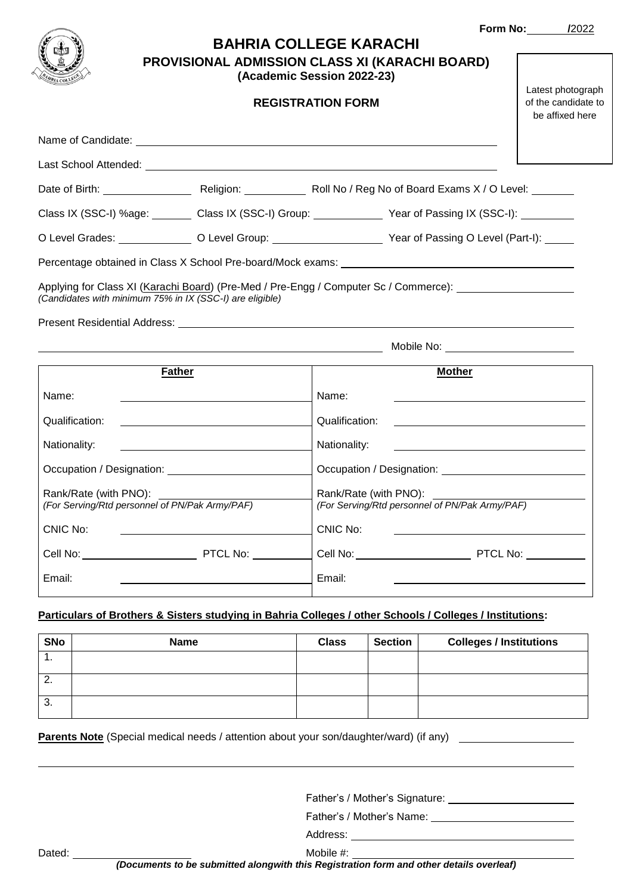|                                                                                                                                                                                                                                      | <b>BAHRIA COLLEGE KARACHI</b> |                          |                |                                                                                                                        | <b>Form No: /2022</b>                                       |  |
|--------------------------------------------------------------------------------------------------------------------------------------------------------------------------------------------------------------------------------------|-------------------------------|--------------------------|----------------|------------------------------------------------------------------------------------------------------------------------|-------------------------------------------------------------|--|
| <b>PROVISIONAL ADMISSION CLASS XI (KARACHI BOARD)</b><br>(Academic Session 2022-23)                                                                                                                                                  |                               |                          |                |                                                                                                                        |                                                             |  |
|                                                                                                                                                                                                                                      |                               | <b>REGISTRATION FORM</b> |                |                                                                                                                        | Latest photograph<br>of the candidate to<br>be affixed here |  |
| Name of Candidate: <u>example and contract and contract and contract and contract and contract and contract and contract and contract and contract and contract and contract and contract and contract and contract and contract</u> |                               |                          |                |                                                                                                                        |                                                             |  |
| Last School Attended: <u>Communications</u> and Communications and Communications and Communications and Communications                                                                                                              |                               |                          |                |                                                                                                                        |                                                             |  |
|                                                                                                                                                                                                                                      |                               |                          |                |                                                                                                                        |                                                             |  |
| Class IX (SSC-I) %age: Class IX (SSC-I) Group: Year of Passing IX (SSC-I): Class IX (SSC-I):                                                                                                                                         |                               |                          |                |                                                                                                                        |                                                             |  |
| O Level Grades: ________________ O Level Group: __________________________ Year of Passing O Level (Part-I): _____                                                                                                                   |                               |                          |                |                                                                                                                        |                                                             |  |
| Percentage obtained in Class X School Pre-board/Mock exams: _____________________                                                                                                                                                    |                               |                          |                |                                                                                                                        |                                                             |  |
| Applying for Class XI (Karachi Board) (Pre-Med / Pre-Engg / Computer Sc / Commerce): _______________<br>(Candidates with minimum 75% in IX (SSC-I) are eligible)                                                                     |                               |                          |                |                                                                                                                        |                                                             |  |
|                                                                                                                                                                                                                                      |                               |                          |                |                                                                                                                        |                                                             |  |
|                                                                                                                                                                                                                                      |                               |                          |                |                                                                                                                        |                                                             |  |
| <b>Father</b>                                                                                                                                                                                                                        |                               |                          |                | <b>Mother</b>                                                                                                          |                                                             |  |
| Name:                                                                                                                                                                                                                                |                               | Name:                    |                |                                                                                                                        |                                                             |  |
| Qualification:                                                                                                                                                                                                                       |                               |                          | Qualification: |                                                                                                                        |                                                             |  |
| Nationality:<br><u> 1989 - Johann Barbara, martin amerikan basar dan berasal dan berasal dalam basar dalam basar dalam basar dala</u>                                                                                                |                               |                          | Nationality:   |                                                                                                                        |                                                             |  |
|                                                                                                                                                                                                                                      |                               |                          |                |                                                                                                                        |                                                             |  |
| Rank/Rate (with PNO):<br>(For Serving/Rtd personnel of PN/Pak Army/PAF)<br>Rank/Rate (with PNO):<br>(For Serving/Rtd personnel of PN/Pak Army/PAF)                                                                                   |                               |                          |                |                                                                                                                        |                                                             |  |
| <b>CNIC No:</b>                                                                                                                                                                                                                      |                               | CNIC No:                 |                |                                                                                                                        |                                                             |  |
| <b>Cell No:</b> PTCL No:                                                                                                                                                                                                             |                               |                          |                | <u> 1989 - John Stein, mars and de Branch and de Branch and de Branch and de Branch and de Branch and de Branch an</u> |                                                             |  |
|                                                                                                                                                                                                                                      |                               |                          |                |                                                                                                                        |                                                             |  |
| Email:                                                                                                                                                                                                                               |                               | Email:                   |                | <u> 1980 - Johann Barnett, fransk politik (d. 1980)</u>                                                                |                                                             |  |
| Particulars of Brothers & Sisters studying in Bahria Colleges / other Schools / Colleges / Institutions:                                                                                                                             |                               |                          |                |                                                                                                                        |                                                             |  |
| <b>SNo</b><br><b>Name</b>                                                                                                                                                                                                            |                               | <b>Class</b>             | <b>Section</b> | <b>Colleges / Institutions</b>                                                                                         |                                                             |  |

| <b>SNO</b> | name | Glass | <b>Section</b> | Colleges / Institutions |
|------------|------|-------|----------------|-------------------------|
| . .        |      |       |                |                         |
| Ζ.         |      |       |                |                         |
| ◠<br>ა.    |      |       |                |                         |

**Parents Note** (Special medical needs / attention about your son/daughter/ward) (if any)

Father's / Mother's Signature:

Father's / Mother's Name:

Address:

Dated: Nobile #: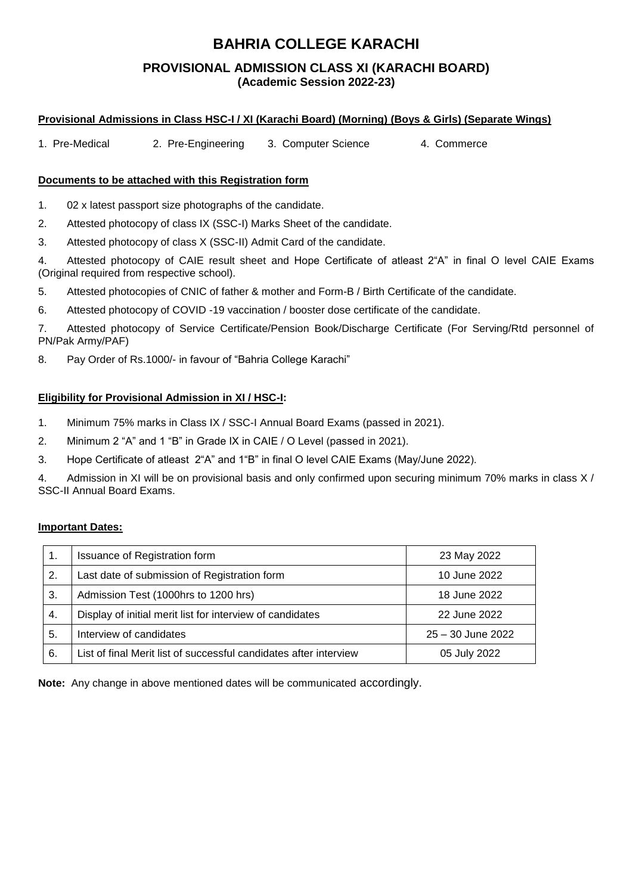## **BAHRIA COLLEGE KARACHI**

### **PROVISIONAL ADMISSION CLASS XI (KARACHI BOARD) (Academic Session 2022-23)**

#### **Provisional Admissions in Class HSC-I / XI (Karachi Board) (Morning) (Boys & Girls) (Separate Wings)**

1. Pre-Medical 2. Pre-Engineering 3. Computer Science 4. Commerce

#### **Documents to be attached with this Registration form**

1. 02 x latest passport size photographs of the candidate.

2. Attested photocopy of class IX (SSC-I) Marks Sheet of the candidate.

3. Attested photocopy of class X (SSC-II) Admit Card of the candidate.

4. Attested photocopy of CAIE result sheet and Hope Certificate of atleast 2"A" in final O level CAIE Exams (Original required from respective school).

5. Attested photocopies of CNIC of father & mother and Form-B / Birth Certificate of the candidate.

6. Attested photocopy of COVID -19 vaccination / booster dose certificate of the candidate.

7. Attested photocopy of Service Certificate/Pension Book/Discharge Certificate (For Serving/Rtd personnel of PN/Pak Army/PAF)

8. Pay Order of Rs.1000/- in favour of "Bahria College Karachi"

#### **Eligibility for Provisional Admission in XI / HSC-I:**

- 1. Minimum 75% marks in Class IX / SSC-I Annual Board Exams (passed in 2021).
- 2. Minimum 2 "A" and 1 "B" in Grade IX in CAIE / O Level (passed in 2021).

3. Hope Certificate of atleast 2"A" and 1"B" in final O level CAIE Exams (May/June 2022).

4. Admission in XI will be on provisional basis and only confirmed upon securing minimum 70% marks in class X / SSC-II Annual Board Exams.

#### **Important Dates:**

|    | Issuance of Registration form                                     | 23 May 2022       |
|----|-------------------------------------------------------------------|-------------------|
| 2. | Last date of submission of Registration form                      | 10 June 2022      |
| 3. | Admission Test (1000hrs to 1200 hrs)                              | 18 June 2022      |
| 4. | Display of initial merit list for interview of candidates         | 22 June 2022      |
| 5. | Interview of candidates                                           | 25 - 30 June 2022 |
| 6. | List of final Merit list of successful candidates after interview | 05 July 2022      |

**Note:** Any change in above mentioned dates will be communicated accordingly.